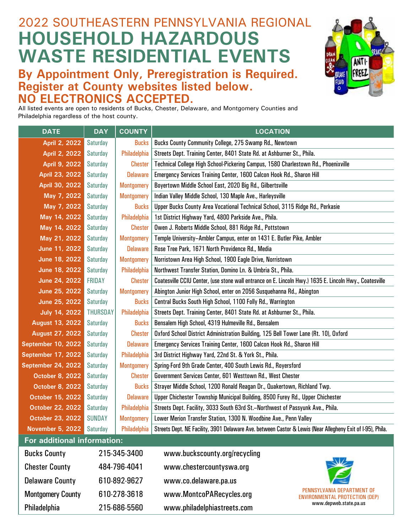## 2022 SOUTHEASTERN PENNSYLVANIA REGIONAL **HOUSEHOLD HAZARDOUS WASTE RESIDENTIAL EVENTS**

### **By Appointment Only, Preregistration is Required. Register at County websites listed below. NO ELECTRONICS ACCEPTED.**



All listed events are open to residents of Bucks, Chester, Delaware, and Montgomery Counties and Philadelphia regardless of the host county.

| <b>DATE</b>                 | <b>DAY</b>      | <b>COUNTY</b>     | <b>LOCATION</b>                                                                                            |  |  |  |
|-----------------------------|-----------------|-------------------|------------------------------------------------------------------------------------------------------------|--|--|--|
| April 2, 2022               | <b>Saturday</b> | <b>Bucks</b>      | Bucks County Community College, 275 Swamp Rd., Newtown                                                     |  |  |  |
| April 2, 2022               | <b>Saturday</b> | Philadelphia      | Streets Dept. Training Center, 8401 State Rd. at Ashburner St., Phila.                                     |  |  |  |
| April 9, 2022               | Saturday        | <b>Chester</b>    | Technical College High School-Pickering Campus, 1580 Charlestown Rd., Phoenixville                         |  |  |  |
| April 23, 2022              | <b>Saturday</b> | <b>Delaware</b>   | Emergency Services Training Center, 1600 Calcon Hook Rd., Sharon Hill                                      |  |  |  |
| April 30, 2022              | <b>Saturday</b> | <b>Montgomery</b> | Boyertown Middle School East, 2020 Big Rd., Gilbertsville                                                  |  |  |  |
| May 7, 2022                 | <b>Saturday</b> | <b>Montgomery</b> | Indian Valley Middle School, 130 Maple Ave., Harleysville                                                  |  |  |  |
| May 7, 2022                 | <b>Saturday</b> | <b>Bucks</b>      | Upper Bucks County Area Vocational Technical School, 3115 Ridge Rd., Perkasie                              |  |  |  |
| May 14, 2022                | <b>Saturday</b> | Philadelphia      | 1st District Highway Yard, 4800 Parkside Ave., Phila.                                                      |  |  |  |
| May 14, 2022                | <b>Saturday</b> | <b>Chester</b>    | Owen J. Roberts Middle School, 881 Ridge Rd., Pottstown                                                    |  |  |  |
| May 21, 2022                | <b>Saturday</b> | <b>Montgomery</b> | Temple University-Ambler Campus, enter on 1431 E. Butler Pike, Ambler                                      |  |  |  |
| June 11, 2022               | <b>Saturday</b> | <b>Delaware</b>   | Rose Tree Park, 1671 North Providence Rd., Media                                                           |  |  |  |
| June 18, 2022               | <b>Saturday</b> | <b>Montgomery</b> | Norristown Area High School, 1900 Eagle Drive, Norristown                                                  |  |  |  |
| June 18, 2022               | <b>Saturday</b> | Philadelphia      | Northwest Transfer Station, Domino Ln. & Umbria St., Phila.                                                |  |  |  |
| June 24, 2022               | <b>FRIDAY</b>   | <b>Chester</b>    | Coatesville CCIU Center, (use stone wall entrance on E. Lincoln Hwy.) 1635 E. Lincoln Hwy., Coatesville    |  |  |  |
| June 25, 2022               | Saturday        | <b>Montgomery</b> | Abington Junior High School, enter on 2056 Susquehanna Rd., Abington                                       |  |  |  |
| June 25, 2022               | <b>Saturday</b> | <b>Bucks</b>      | Central Bucks South High School, 1100 Folly Rd., Warrington                                                |  |  |  |
| <b>July 14, 2022</b>        | <b>THURSDAY</b> | Philadelphia      | Streets Dept. Training Center, 8401 State Rd. at Ashburner St., Phila.                                     |  |  |  |
| <b>August 13, 2022</b>      | Saturday        | <b>Bucks</b>      | Bensalem High School, 4319 Hulmeville Rd., Bensalem                                                        |  |  |  |
| <b>August 27, 2022</b>      | Saturday        | <b>Chester</b>    | Oxford School District Administration Building, 125 Bell Tower Lane (Rt. 10), Oxford                       |  |  |  |
| <b>September 10, 2022</b>   | <b>Saturday</b> | <b>Delaware</b>   | Emergency Services Training Center, 1600 Calcon Hook Rd., Sharon Hill                                      |  |  |  |
| <b>September 17, 2022</b>   | <b>Saturday</b> | Philadelphia      | 3rd District Highway Yard, 22nd St. & York St., Phila.                                                     |  |  |  |
| September 24, 2022          | Saturday        | <b>Montgomery</b> | Spring-Ford 9th Grade Center, 400 South Lewis Rd., Royersford                                              |  |  |  |
| <b>October 8, 2022</b>      | Saturday        | <b>Chester</b>    | Government Services Center, 601 Westtown Rd., West Chester                                                 |  |  |  |
| <b>October 8, 2022</b>      | Saturday        | <b>Bucks</b>      | Strayer Middle School, 1200 Ronald Reagan Dr., Quakertown, Richland Twp.                                   |  |  |  |
| October 15, 2022            | <b>Saturday</b> | <b>Delaware</b>   | Upper Chichester Township Municipal Building, 8500 Furey Rd., Upper Chichester                             |  |  |  |
| October 22, 2022            | <b>Saturday</b> | Philadelphia      | Streets Dept. Facility, 3033 South 63rd St.-Northwest of Passyunk Ave., Phila.                             |  |  |  |
| October 23, 2022            | <b>SUNDAY</b>   | <b>Montgomery</b> | Lower Merion Transfer Station, 1300 N. Woodbine Ave., Penn Valley                                          |  |  |  |
| November 5, 2022 Saturday   |                 | Philadelphia      | Streets Dept. NE Facility, 3901 Delaware Ave. between Castor & Lewis (Near Allegheny Exit of I-95), Phila. |  |  |  |
| For additional information: |                 |                   |                                                                                                            |  |  |  |
| <b>Bucks County</b>         | 215-345-3400    |                   | www.buckscounty.org/recycling                                                                              |  |  |  |
| <b>Chester County</b>       |                 | 484-796-4041      | www.chestercountyswa.org                                                                                   |  |  |  |
| <b>Delaware County</b>      |                 | 610-892-9627      | www.co.delaware.pa.us                                                                                      |  |  |  |
| <b>Montgomery County</b>    |                 | 610-278-3618      | PENNSYLVANIA DEPARTMENT OF<br>www.MontcoPARecycles.org<br><b>ENVIRONMENTAL PROTECTION (DEP)</b>            |  |  |  |
| Philadelphia                |                 | 215-686-5560      | www.depweb.state.pa.us<br>www.philadelphiastreets.com                                                      |  |  |  |